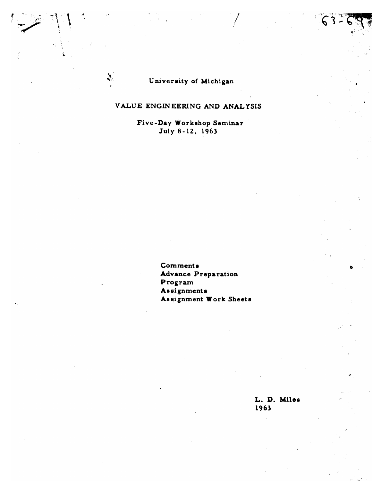# VALUE ENGINEERING AND ANALYSIS

Five-Day Workshop Seminar July 8-12, 1963

> **Comments Advance Preparation** Program Assignments Assignment Work Sheets

> > L. D. Miles 1963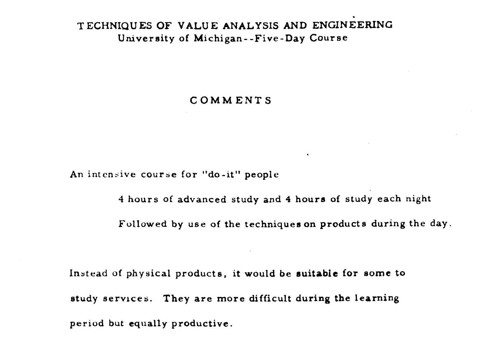# . **T ECHNIQU ES OF VALUE ANALYSIS AND ENGINEERING University of Michigan- -Five-Day Course**

## **COMMENTS**

**An inten5ive course for "do-it" people** 

**4 hours of advanced study and 4 hours of study each night Followed by use of the techniques on products during the day.** 

 $\bullet$ 

**Instead of physical products, it would be muitable for some to study servrces. They are more difficult during the learning period but equally productive.**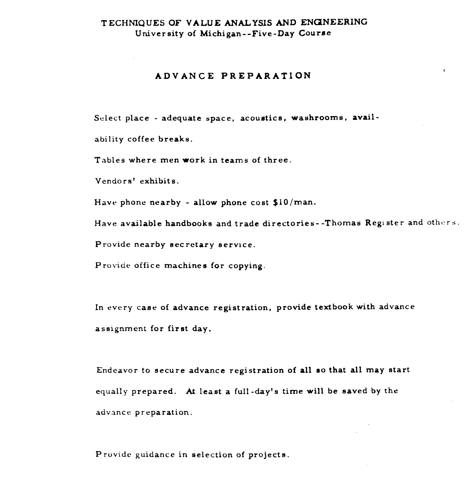# **TECHNIQUES OF VALUE ANALYSIS AND ENGINEERING** Univer aity of Michigan- -Five-Day **Courae**

#### **ADVANCE PREPARATION**

Select place - adequate **space,** acoustics, washrooms, avail ability coffee breaks.

Tables where men work in teams of three.

Vendors' exhibits.

Have phone nearby - allow phone cost **\$10 /man.** 

Have available handbooks and trade directories -- Thomas Register and others.

Provide nearby eecretary **service.** 

Provide office **machines** for copying.

**In** every **case** of advance registration, provide textbook with advance **assignment** for first day.

Endeavor to **secure advance** registration of all so that all **may** start equally prepared. At least a full-day's time will **be** saved by **the**  advance preparation.

P rovidc guidance in selection of projects.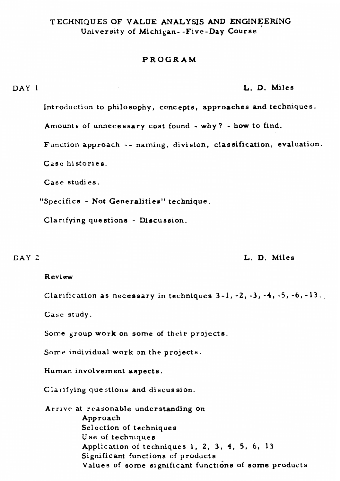# **T** ECHNIQU **ES OF VALUE ANALYSIS AND ENGINEERING**  University of Michigan- -Five-Day Course

## PROGRAM

#### **DAY** 1 **L.** D. Miles

Introduction to philosophy, conc ept **s,** approaches and techniques .

Amounts of unnecessary cost found - why? - how to find.

Function approach -- naming, division, classification, evaluation.

Case histories.

**Case** studies.

"Specifics - Not Generalities" **technique.** 

Clarifying questions - Diacuasion.

#### **DAY** 2 **L.** D. Miles

#### R evi **ew**

Clarification as necessary in techniques 3-1, -2, -3, -4, **-5, -6, -13.,** 

**Case** study.

Some group work on some of their projects.

Some individual work on the projects.

Human involvement aspects.

Clarifying questions and discussion.

**Arrive** at reasonable understanding on Approach Selection of techniques **Use** of technlquea Application of techniques **1,** 2, **3 4,** 5, 6, 13 Significant functions of products Values of some significant functions of **some** products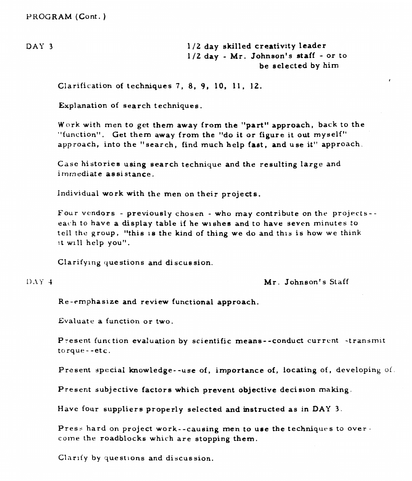**DAY 3** 1 **/2 day** skilled creativity leader 1/Z day - Mr. **Johnson's** staff - or to be selected by him

Clarification of techniques 7, 8, **9,** 10, 11, 12.

Explanation of search techniques.

Work with men to get them **away** from the "part" approach, back to the "function". Get them away from **the** "do it or figure it out myself" approach, into the "search, find much help fast, and use it" approach.

Case histories using search technique and the resulting large and immediate assistance.

Individual work with the **men** on their projects.

Four vendors - previously chosen - who **may** contribute on the projects- each to **have** a display table if he wishes and to have seven minutes to tell the group, "this **1s** the kind of thing **we** do and this is how we think it will help you".

Clarifymg questions and di scus sion.

 $DATAY$  4

Mr. Johnson's Staff

Re -emphasize and review functional **approach.** 

Evaluate a function or two.

Present function evaluation by scientific means--conduct current -transmit torque - **-etc.** 

Present special knowledge--use of, importance of, locating of, developing of.

Present subjective factors which prevent objective decision making.

Have four suppliers properly selected and instructed **as** in DAY 3.

Press hard on project work--causing men to use the techniques to over come the roadblocks which are stopping them.

Clarify **by** questions and discussion.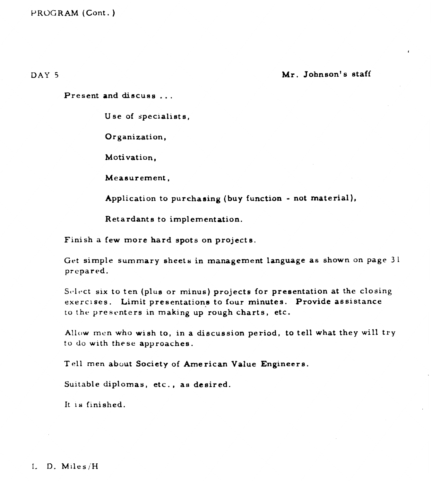DAY 5 **Mr. Johnson's staff** 

Present and discuss ...

**Use** of specialists,

Organization,

Motivation,

Measurement,

Application to purchasing **(buy** function - not material),

Retardants to implementation.

Finish a few more hard spots on projects.

Get simple summary sheets in management language as shown on page 31 prepared.

Select six to ten (plus or minus) projects for presentation at the closing exercises. Limit presentations to four minutes. Provide assistance to the presenters in making up rough charts, etc.

Allow mcn who wish to, in **a** discussion period, to tell what they will try to do with these approaches.

T ell men **about** Society of **Arne** rican Value Engineers.

Suitable diplomas, etc., as desired.

It **is** finished.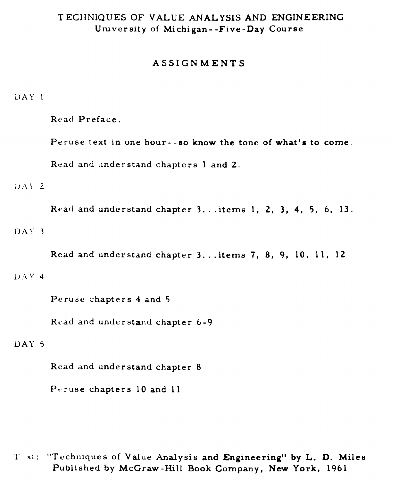# **T ECHNIQUES OF VALUE ANALYSIS AND ENGINEERING University of Michigan- -Five-Day Course**

## **ASSIGNMENTS**

#### L)AY 1

Rcad **Preface.** 

**Peruse text in one hour- -so know the tone of what's to come.** 

Read **and understand chapters 1 and 2.** 

**1'** *2* 

**Read and understand chapter 3.. .items 1, 2, 3, 4, 5,** *6,* **13.**  DAY <sup>3</sup>

**Read and understand chapter 3.** . **.items 7, 8, 9, 10, 11, 12**  U.4 y **4** 

**Peruse chapters 4 and 5** 

Read **and understand chapter 6 -9** 

# **LIAY** 5

 $\sim$ 

**Read and understand chapter 8** 

**Pt ruse chapters 10 and <sup>11</sup>**

T **x:: "Techniques of Value Analysis and Engineering" by L. D. Miles Published by McGraw -Hill Book Company, New York, 1961**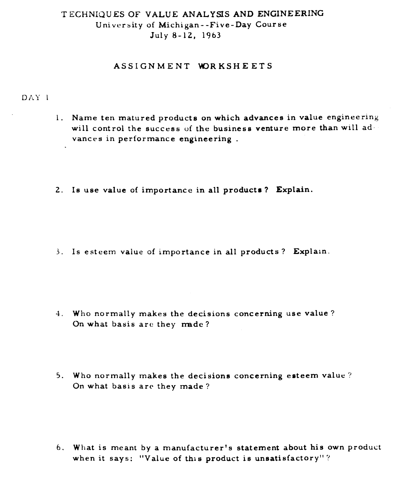# **T** ECHNIQU **ES OF VALUE ANALYSIS** AND **ENGINEERING**  University of Michigan- -Five-Day Course July 8-12, 1963

### ASSIGNMENT WORKSHEETS

## DAY 1

- I. **Name** ten matured products on which advances in value engineering will control the success **of** the business venture **more** than will advances in performance engineering .
- **2.** Is **use** value of importance in all products ? Explain.

**3.** Is esteem value of importance in all products ? **Explain.** 

- **4. Who** normally makes the decisions concerning **use** value? On what basis are they made?
- 5. Who normally makes the decisions concerning esteem value? On what basis **arc** they **made** ?

6. What is meant by a manufacturer's statement about his own product when it **says:** "Value of this product is unsatisfactory" ?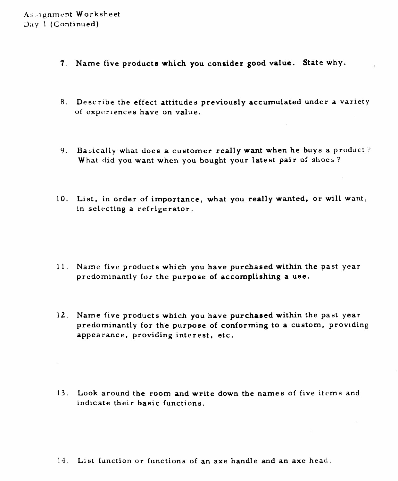- **7- Name** five product8 which **you consider good value. State why.**
- 8. Describe the effect attitudes previously accumulated under a variety of experiences have on value.
- 9. Basically what does a customer really **want** when he buys a product '? **What** did you **want** when you bought your latest pair of shoes?
- 10. List, in order of importance, what you really wanted, or will **want,**  in selecting a refrigerator.

- 11. Name five products which you **have** purchased within the past year predominantly for the purpose of accomplishing a **use.**
- 12. Name five products which you have purchased within the past year predominantly for the purpose of conforming to a custom, providing appearance, providing interest, etc.

13. Look around the room **and** write down the names of five itcms and indicate their basic functions.

14. Li st function or functions of an axe handle **and** an axe head.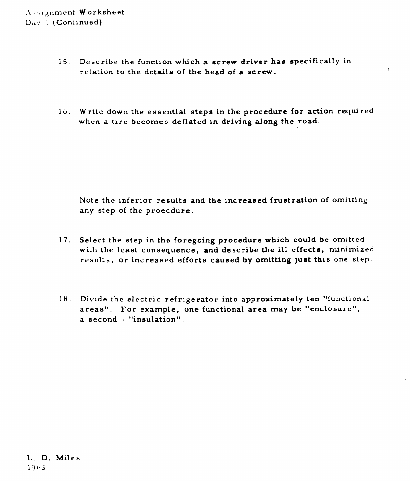- **15,** Describe the function which **a screw** driver has specifically in relation to the details of the **head** of a **screw.**
- 1 **b.** Write down the essential steps in the procedure for action required when a tire becomes deflated in driving along the road.

Note the inferior results **and** the increased frustration of omitting any step of the proecdure.

- **17.** Select the step in the foregoing procedure which could be omitted with the least consequence, **and** describe the ill effecta, minimized results, or increased efforts caused by omitting just this one step.
- 18. Divide the electric refrigerator into approximately ten "functional areas". For example, one functional area may be "enclosure",  $a$  second - "insulation".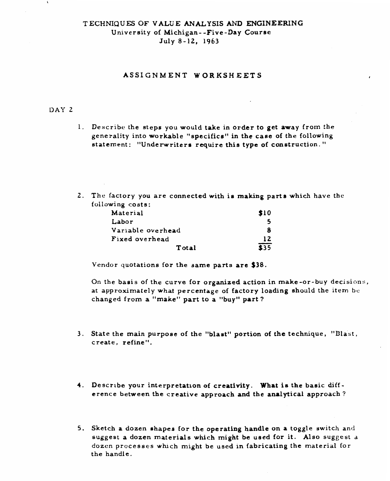# **T ECHNIQUES OF VALUE ANALYSIS** AND **ENGINEERING**  University of Michigan- -Five-Day Courac .July 8-12, 1963

## **ASSIGNMENT WORKSHEETS**

### **DAY 2**

- **1.** Describe the steps you would take in order to get **away** from the generality into workable "specifice" in the **case** of **the** following statement: "Underwriters require this type of construction. "
- **2.** The factory **you** are connected with ia **making** parts which have the **following** costs:

| Material          | \$10 |
|-------------------|------|
| Labor             |      |
| Variable overhead |      |
| Fixed overhead    | 12   |
| Total             | \$35 |

**Vendor** quotations **for** the same parts are \$38.

On the basis of the curve for organized action in make-or -buy decisions, at approximately what percentage of factory loading should the item bc changed from a "make" part to a "buy" part?

- 3. State the main purpose of the "blast" portion of the technique, "Blast, create, refine".
- **4. Describe** your interpretation of **creativity. What** is **the** basic **diff**  erence between the creative approach and the analytical approach ?
- **5.** Sketch a dozen **shapes for** the operating **handle** on **a** toggle switch and **suggest** a dozen materials which might **be used** for **it.** Also suggest a **dozen processes whch** might **be** used in fabricating the material **for**  the handle,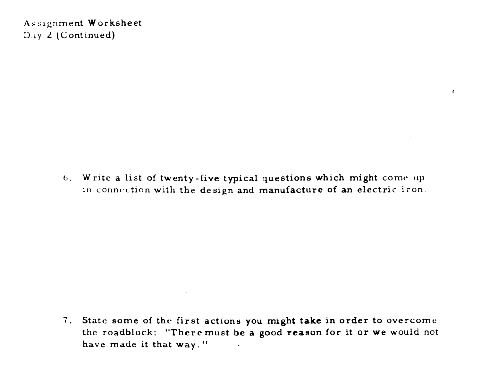**As slgnment Worksheet D.L~ L (Continued)** 

> **b. Write a list of twenty-five typical questions which might** come **up**  in connection with the design and manufacture of an electric iron.

f.

7. **State some of the first actions you might take in order to** overcome **the roadblock: "Theremust be a good reason for it or we would not have made it that way.** "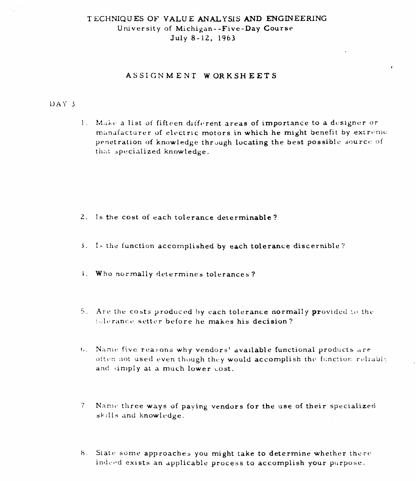# T E;CHNIQU **ES** OF **VALU E ANALYSIS AND ENGINEERING**  University of Michigan- -Five-Day Course July 8-12, 1963

# **ASSIGNMENT WORKSHEETS**

### DAY 3

1. Make a list of fifteen different areas of importance to a designer or manufacturer of electric motors in which he might benefit by extreme penetration of knowledge through locating the best possible source of that specialized knowledge.

- 2. Is the cost of each tolerance determinable?
- **3.** I- the function accomplished by **each tolerance** discernible?
- 1. Who normally determines tolerances ?
- 5. Are the costs produced by each tolerance normally provided to the. !14,1~.r;inc:c. settcr bcforc **he** makes his decision?
- $t$ . Name five reasons why vendors' available functional products are often not used even though they would accomplish the function reliably and simply at a much lower cost.
- -7 Nanltl three **ways of** paving vendors for **the use** of their specialized skills and knowledge.
- 8. State some approaches you might take to determine whether there indeed exists an applicable process to accomplish your purpose.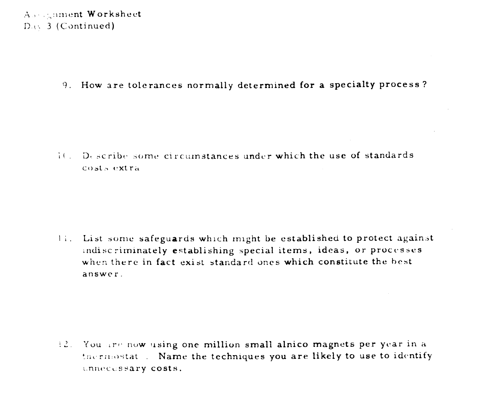9. How are tolerances normally determined for a specialty process?

10. Describe some circumstances under which the use of standards costs extra

11. List some safeguards which might be established to protect against indiscriminately establishing special items, ideas, or processes when there in fact exist standard ones which constitute the best answer.

12. You are now using one million small alnico magnets per year in a thermostat. Name the techniques you are likely to use to identify unnecessary costs.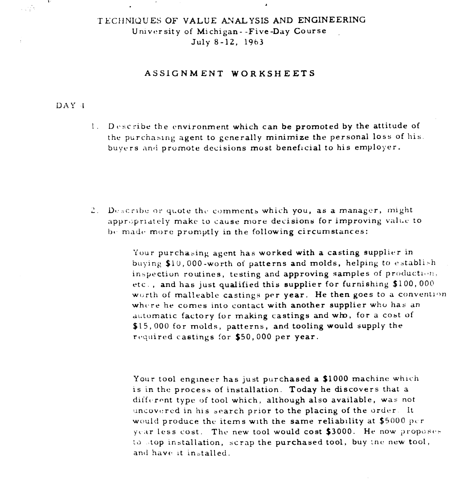# TECHNIQUES OF VALUE ANALYSIS AND ENGINEERING University of Michigan--Five-Day Course July 8-12, 1963

### ASSIGNMENT WORKSHEETS

#### $DAY - 4$

 $\frac{1}{2}$  ,  $\frac{1}{2}$  ,  $\frac{1}{2}$ 

1. Describe the environment which can be promoted by the attitude of the purchasing agent to generally minimize the personal loss of his. buyers and promote decisions most beneficial to his employer.

2. Describe or quote the comments which you, as a manager, might appropriately make to cause more decisions for improving value to be made more promptly in the following circumstances:

> Your purchasing agent has worked with a casting supplier in buying \$10,000-worth of patterns and molds, helping to establish inspection routines, testing and approving samples of production, etc., and has just qualified this supplier for furnishing \$100,000 worth of malleable castings per year. He then goes to a convention where he comes into contact with another supplier who has an automatic factory for making castings and who, for a cost of \$15,000 for molds, patterns, and tooling would supply the required castings for \$50,000 per year.

Your tool engineer has just purchased a \$1000 machine which is in the process of installation. Today he discovers that a different type of tool which, although also available, was not uncovered in his search prior to the placing of the order. It would produce the items with the same reliability at \$5000 per year less cost. The new tool would cost \$3000. He now proposes to stop installation, scrap the purchased tool, buy the new tool, and have it installed.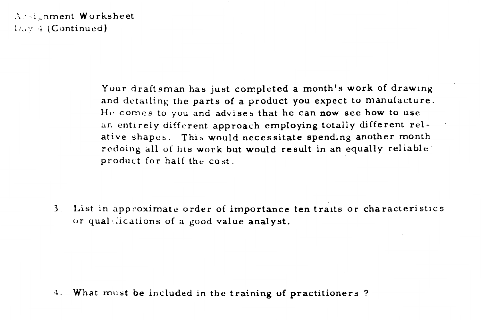Assignment Worksheet  $D_{\mu\nu}$  4 (Continued)

> Your draftsman has just completed a month's work of drawing and detailing the parts of a product you expect to manufacture. He comes to you and advises that he can now see how to use an entirely different approach employing totally different relative shapes. This would necessitate spending another month redoing all of his work but would result in an equally reliable product for half the cost.

3. List in approximate order of importance ten traits or characteristics or qualifications of a good value analyst.

4. What must be included in the training of practitioners?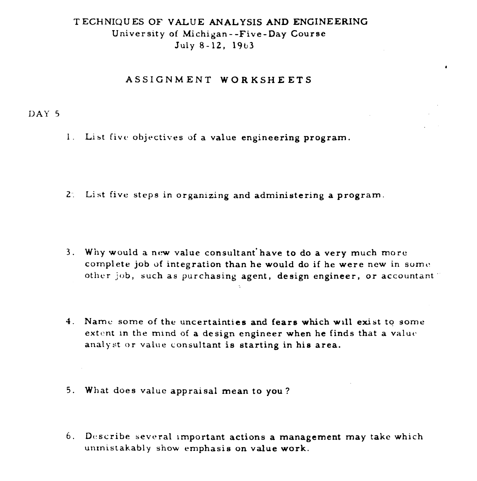## **T** ECHNIQU **ES OF VALUE ANALYSIS AND ENGINEERING**

**University of Michigan** - **-Five-Day Course July 8-12, 19b3** 

## **ASSIGNMENT WORKSHEETS**

# **DAY** 5

- 1. List five objectives of a value engineering program.
- **2: List five steps in organizing and administering a program.**
- **3. Why would a nttw value consultant'have to do a very much** more **complete job** of **integration than he would do if he were new in** somc **other job, such as purchasing agent, design engineer, or accountant** '
- **4. Namc** some of **the uncertainties and fears which w~ll exist to some extent in** the mind **of a design engineer when he finds that a valut. analyst or value consultant is starting in his area.**
- **5. What** does **value appraisal mean to you?**
- 6. **Dcscribe several lmportant actions a management may take which**  unrnist **akably show emphasis on value work.**